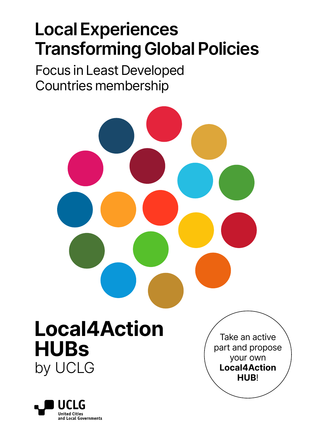### **Local Experiences Transforming Global Policies**

Focus in Least Developed Countries membership

## **Local4Action HUBs** by UCLG



Take an active part and propose your own **Local4Action HUB**!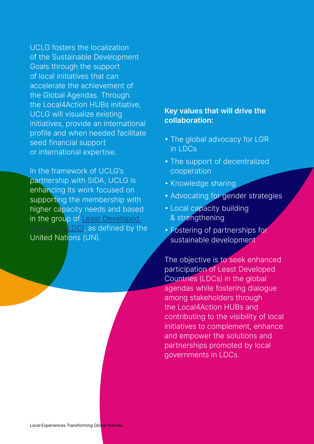UCLG fosters the localization of the Sustainable Development Goals through the support of local initiatives that can accelerate the achievement of the Global Agendas. Through the Local4Action HUBs initiative, UCLG will visualize existing initiatives, provide an international profile and when needed facilitate seed financial support or international expertise.

In the framework of UCLG's partnership with SIDA, UCLG is enhancing its work focused on supporting the membership with higher capacity needs and based in the group of Least Developed LDC), as defined by the United Nations (UN).

#### **Key values that will drive the collaboration:**

- The global advocacy for LGR in LDCs
- The support of decentralized cooperation
- Knowledge sharing
- Advocating for gender strategies
- Local capacity building & strengthening
- Fostering of partnerships for sustainable development

The objective is to seek enhanced participation of Least Developed Countries (LDCs) in the global agendas while fostering dialogue among stakeholders through the Local4Action HUBs and contributing to the visibility of local initiatives to complement, enhance and empower the solutions and partnerships promoted by local governments in LDCs.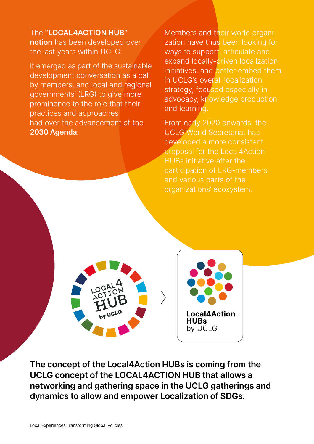The **"LOCAL4ACTION HUB" notion** has been developed over the last years within UCLG.

It emerged as part of the sustainable development conversation as a call by members, and local and regional governments' (LRG) to give more prominence to the role that their practices and approaches had over the advancement of the **2030 Agenda**.

Members and their world organization have thus been looking for ways to support, articulate and expand locally-driven localization initiatives, and better embed them in UCLG's overall localization strategy, focused especially in advocacy, knowledge production and learning.

From early 2020 onwards, the UCLG World Secretariat has developed a more consistent proposal for the Local4Action HUBs initiative after the participation of LRG-members and various parts of the organizations' ecosystem.

**Local4Action HUBs** by UCLG

**The concept of the Local4Action HUBs is coming from the UCLG concept of the LOCAL4ACTION HUB that allows a networking and gathering space in the UCLG gatherings and dynamics to allow and empower Localization of SDGs.**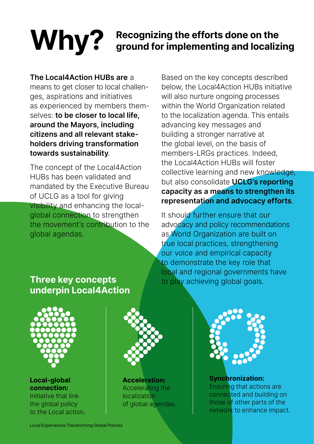# Why? Recognizing the efforts done on the<br> **Why?** ground for implementing and localizing

**The Local4Action HUBs are** a means to get closer to local challenges, aspirations and initiatives as experienced by members themselves: **to be closer to local life, around the Mayors, including citizens and all relevant stakeholders driving transformation towards sustainability**.

The concept of the Local4Action HUBs has been validated and mandated by the Executive Bureau of UCLG as a tool for giving visibility and enhancing the localglobal connection to strengthen the movement's contribution to the global agendas.

Based on the key concepts described below, the Local4Action HUBs initiative will also nurture ongoing processes within the World Organization related to the localization agenda. This entails advancing key messages and building a stronger narrative at the global level, on the basis of members-LRGs practices. Indeed, the Local4Action HUBs will foster collective learning and new knowledge, but also consolidate **UCLG's reporting capacity as a means to strengthen its representation and advocacy efforts**.

It should further ensure that our advocacy and policy recommendations as World Organization are built on true local practices, strengthening our voice and empirical capacity to demonstrate the key role that local and regional governments have to play achieving global goals.

### **Three key concepts underpin Local4Action**



**Local-global connection:**  Initiative that link the global policy to the Local action.



**Acceleration:**  Accelerating the localization of global agendas.



**Synchronization:**  Ensuring that actions are connected and building on those of other parts of the network to enhance impact.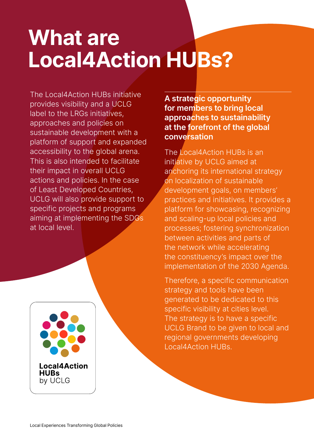## **What are Local4Action HUBs?**

The Local4Action HUBs initiative provides visibility and a UCLG label to the LRGs initiatives, approaches and policies on sustainable development with a platform of support and expanded accessibility to the global arena. This is also intended to facilitate their impact in overall UCLG actions and policies. In the case of Least Developed Countries, UCLG will also provide support to specific projects and programs aiming at implementing the SDGs at local level.

**Local4Action HUBs** by UCLG

**A strategic opportunity for members to bring local approaches to sustainability at the forefront of the global conversation**

The Local4Action HUBs is an initiative by UCLG aimed at anchoring its international strategy on localization of sustainable development goals, on members' practices and initiatives. It provides a platform for showcasing, recognizing and scaling-up local policies and processes; fostering synchronization between activities and parts of the network while accelerating the constituency's impact over the implementation of the 2030 Agenda.

Therefore, a specific communication strategy and tools have been generated to be dedicated to this specific visibility at cities level. The strategy is to have a specific UCLG Brand to be given to local and regional governments developing Local4Action HUBs.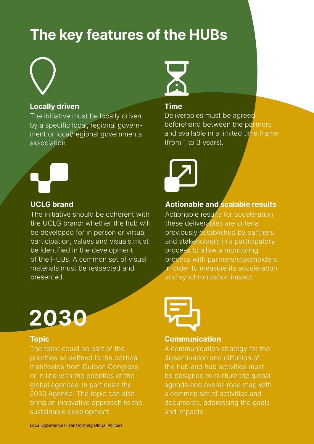### **The key features of the HUBs**

#### **Locally driven**

The initiative must be locally driven by a specific local, regional government or local/regional governments association.



#### **UCLG brand**

The initiative should be coherent with the UCLG brand: whether the hub will be developed for in person or virtual participation, values and visuals must be identified in the development of the HUBs. A common set of visual materials must be respected and presented.



#### **Topic**

The topic could be part of the priorities as defined in the political manifestos from Durban Congress or in line with the priorities of the global agendas, in particular the 2030 Agenda. The topic can also bring an innovative approach to the sustainable development.



#### **Time**

Deliverables must be agreed beforehand between the partners and available in a limited time frame (from 1 to 3 years).



#### **Actionable and scalable results**

Actionable results for acceleration, these deliverables are criteria previously established by partners and stakeholders in a participatory process to allow a monitoring process with partners/stakeholders in order to measure its acceleration and synchronization impact.



#### **Communication**

A communication strategy for the dissemination and diffusion of the hub and hub activities must be designed to nurture the global agenda and overall road map with a common set of activities and documents, addressing the goals and impacts.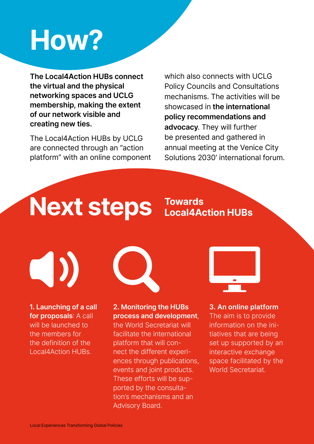## **How?**

**The Local4Action HUBs connect the virtual and the physical networking spaces and UCLG membership, making the extent of our network visible and creating new ties.**

The Local4Action HUBs by UCLG are connected through an "action platform" with an online component which also connects with UCLG Policy Councils and Consultations mechanisms. The activities will be showcased in **the international policy recommendations and advocacy**. They will further be presented and gathered in annual meeting at the Venice City Solutions 2030' international forum.

## **Next steps**

**Towards Local4Action HUBs**

 $\bigcap$ 

**1. Launching of a call for proposals**: A call will be launched to the members for the definition of the Local4Action HUBs.



#### **2. Monitoring the HUBs process and development**,

the World Secretariat will facilitate the international platform that will connect the different experiences through publications, events and joint products. These efforts will be supported by the consultation's mechanisms and an Advisory Board.



**3. An online platform** The aim is to provide information on the initiatives that are being set up supported by an interactive exchange space facilitated by the World Secretariat.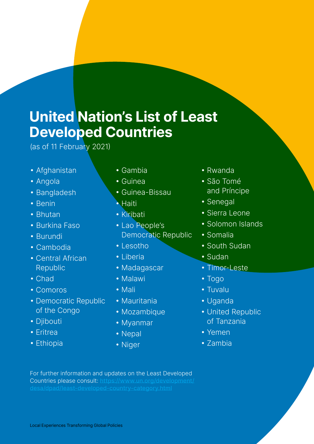### **United Nation's List of Least Developed Countries**

(as of 11 February 2021)

- Afghanistan
- Angola
- Bangladesh
- Benin
- Bhutan
- Burkina Faso
- Burundi
- Cambodia
- Central African Republic
- Chad
- Comoros
- Democratic Republic of the Congo
- Djibouti
- Eritrea
- Ethiopia
- Gambia
- Guinea
- Guinea-Bissau
- Haiti
- Kiribati
- Lao People's Democratic Republic
- Lesotho
- Liberia
- Madagascar
- Malawi
- Mali
- Mauritania
- Mozambique
- Myanmar
- Nepal
- Niger
- Rwanda
- São Tomé and Príncipe
- Senegal
- Sierra Leone
- Solomon Islands
- Somalia
- South Sudan
- Sudan
- Timor-Leste
- Togo
- Tuvalu
- Uganda
- United Republic of Tanzania
- Yemen
- Zambia

For further information and updates on the Least Developed Countries please consult: [https://www.un.org/development/](https://www.un.org/development/desa/dpad/least-developed-country-category.html)